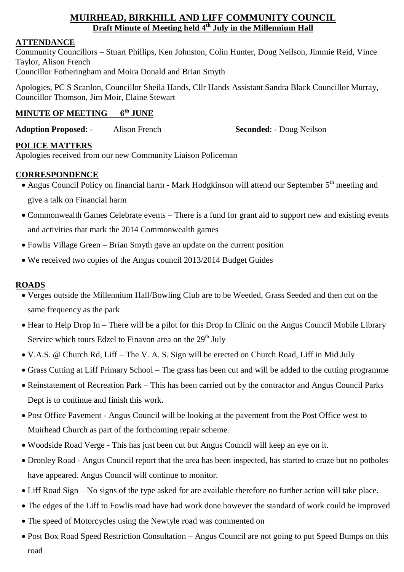# **MUIRHEAD, BIRKHILL AND LIFF COMMUNITY COUNCIL Draft Minute of Meeting held 4 th July in the Millennium Hall**

## **ATTENDANCE**

Community Councillors – Stuart Phillips, Ken Johnston, Colin Hunter, Doug Neilson, Jimmie Reid, Vince Taylor, Alison French Councillor Fotheringham and Moira Donald and Brian Smyth

Apologies, PC S Scanlon, Councillor Sheila Hands, Cllr Hands Assistant Sandra Black Councillor Murray, Councillor Thomson, Jim Moir, Elaine Stewart

#### **MINUTE OF MEETING 6 th JUNE**

**Adoption Proposed**: - Alison French **Seconded**: - Doug Neilson

## **POLICE MATTERS**

Apologies received from our new Community Liaison Policeman

## **CORRESPONDENCE**

- Angus Council Policy on financial harm Mark Hodgkinson will attend our September 5<sup>th</sup> meeting and give a talk on Financial harm
- Commonwealth Games Celebrate events There is a fund for grant aid to support new and existing events and activities that mark the 2014 Commonwealth games
- Fowlis Village Green Brian Smyth gave an update on the current position
- We received two copies of the Angus council 2013/2014 Budget Guides

#### **ROADS**

- Verges outside the Millennium Hall/Bowling Club are to be Weeded, Grass Seeded and then cut on the same frequency as the park
- Hear to Help Drop In There will be a pilot for this Drop In Clinic on the Angus Council Mobile Library Service which tours Edzel to Finavon area on the  $29<sup>th</sup>$  July
- V.A.S. @ Church Rd, Liff The V. A. S. Sign will be erected on Church Road, Liff in Mid July
- Grass Cutting at Liff Primary School The grass has been cut and will be added to the cutting programme
- Reinstatement of Recreation Park This has been carried out by the contractor and Angus Council Parks Dept is to continue and finish this work.
- Post Office Pavement Angus Council will be looking at the pavement from the Post Office west to Muirhead Church as part of the forthcoming repair scheme.
- Woodside Road Verge This has just been cut but Angus Council will keep an eye on it.
- Dronley Road Angus Council report that the area has been inspected, has started to craze but no potholes have appeared. Angus Council will continue to monitor.
- Liff Road Sign No signs of the type asked for are available therefore no further action will take place.
- The edges of the Liff to Fowlis road have had work done however the standard of work could be improved
- The speed of Motorcycles using the Newtyle road was commented on
- Post Box Road Speed Restriction Consultation Angus Council are not going to put Speed Bumps on this road